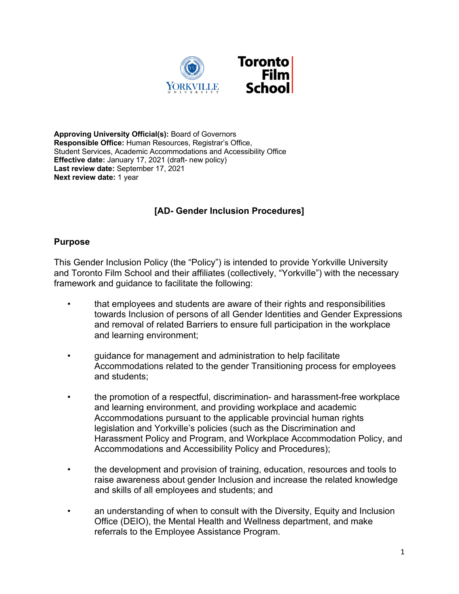

**Approving University Official(s):** Board of Governors **Responsible Office:** Human Resources, Registrar's Office, Student Services, Academic Accommodations and Accessibility Office **Effective date:** January 17, 2021 (draft- new policy) **Last review date:** September 17, 2021 **Next review date:** 1 year

# **[AD- Gender Inclusion Procedures]**

# **Purpose**

This Gender Inclusion Policy (the "Policy") is intended to provide Yorkville University and Toronto Film School and their affiliates (collectively, "Yorkville") with the necessary framework and guidance to facilitate the following:

- that employees and students are aware of their rights and responsibilities towards Inclusion of persons of all Gender Identities and Gender Expressions and removal of related Barriers to ensure full participation in the workplace and learning environment;
- guidance for management and administration to help facilitate Accommodations related to the gender Transitioning process for employees and students;
- the promotion of a respectful, discrimination- and harassment-free workplace and learning environment, and providing workplace and academic Accommodations pursuant to the applicable provincial human rights legislation and Yorkville's policies (such as the Discrimination and Harassment Policy and Program, and Workplace Accommodation Policy, and Accommodations and Accessibility Policy and Procedures);
- the development and provision of training, education, resources and tools to raise awareness about gender Inclusion and increase the related knowledge and skills of all employees and students; and
- an understanding of when to consult with the Diversity, Equity and Inclusion Office (DEIO), the Mental Health and Wellness department, and make referrals to the Employee Assistance Program.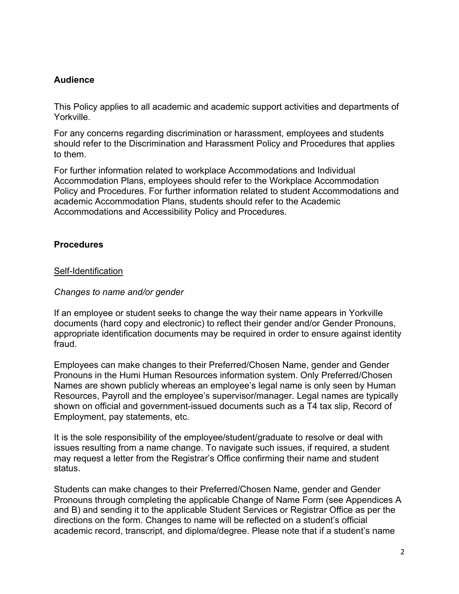# **Audience**

This Policy applies to all academic and academic support activities and departments of Yorkville.

For any concerns regarding discrimination or harassment, employees and students should refer to the Discrimination and Harassment Policy and Procedures that applies to them.

For further information related to workplace Accommodations and Individual Accommodation Plans, employees should refer to the Workplace Accommodation Policy and Procedures. For further information related to student Accommodations and academic Accommodation Plans, students should refer to the Academic Accommodations and Accessibility Policy and Procedures.

# **Procedures**

# Self-Identification

#### *Changes to name and/or gender*

If an employee or student seeks to change the way their name appears in Yorkville documents (hard copy and electronic) to reflect their gender and/or Gender Pronouns, appropriate identification documents may be required in order to ensure against identity fraud.

Employees can make changes to their Preferred/Chosen Name, gender and Gender Pronouns in the Humi Human Resources information system. Only Preferred/Chosen Names are shown publicly whereas an employee's legal name is only seen by Human Resources, Payroll and the employee's supervisor/manager. Legal names are typically shown on official and government-issued documents such as a T4 tax slip, Record of Employment, pay statements, etc.

It is the sole responsibility of the employee/student/graduate to resolve or deal with issues resulting from a name change. To navigate such issues, if required, a student may request a letter from the Registrar's Office confirming their name and student status.

Students can make changes to their Preferred/Chosen Name, gender and Gender Pronouns through completing the applicable Change of Name Form (see Appendices A and B) and sending it to the applicable Student Services or Registrar Office as per the directions on the form. Changes to name will be reflected on a student's official academic record, transcript, and diploma/degree. Please note that if a student's name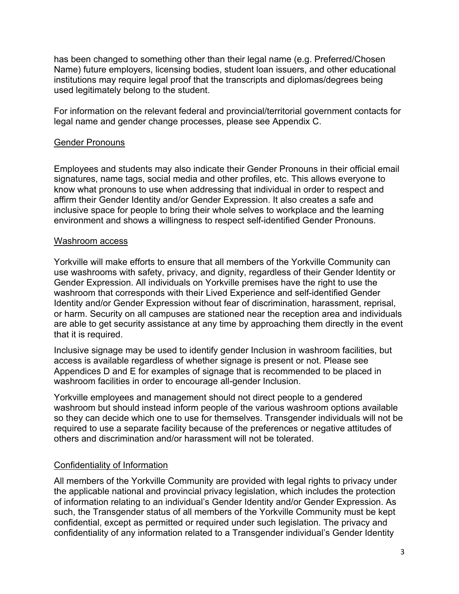has been changed to something other than their legal name (e.g. Preferred/Chosen Name) future employers, licensing bodies, student loan issuers, and other educational institutions may require legal proof that the transcripts and diplomas/degrees being used legitimately belong to the student.

For information on the relevant federal and provincial/territorial government contacts for legal name and gender change processes, please see Appendix C.

# Gender Pronouns

Employees and students may also indicate their Gender Pronouns in their official email signatures, name tags, social media and other profiles, etc. This allows everyone to know what pronouns to use when addressing that individual in order to respect and affirm their Gender Identity and/or Gender Expression. It also creates a safe and inclusive space for people to bring their whole selves to workplace and the learning environment and shows a willingness to respect self-identified Gender Pronouns.

# Washroom access

Yorkville will make efforts to ensure that all members of the Yorkville Community can use washrooms with safety, privacy, and dignity, regardless of their Gender Identity or Gender Expression. All individuals on Yorkville premises have the right to use the washroom that corresponds with their Lived Experience and self-identified Gender Identity and/or Gender Expression without fear of discrimination, harassment, reprisal, or harm. Security on all campuses are stationed near the reception area and individuals are able to get security assistance at any time by approaching them directly in the event that it is required.

Inclusive signage may be used to identify gender Inclusion in washroom facilities, but access is available regardless of whether signage is present or not. Please see Appendices D and E for examples of signage that is recommended to be placed in washroom facilities in order to encourage all-gender Inclusion.

Yorkville employees and management should not direct people to a gendered washroom but should instead inform people of the various washroom options available so they can decide which one to use for themselves. Transgender individuals will not be required to use a separate facility because of the preferences or negative attitudes of others and discrimination and/or harassment will not be tolerated.

# Confidentiality of Information

All members of the Yorkville Community are provided with legal rights to privacy under the applicable national and provincial privacy legislation, which includes the protection of information relating to an individual's Gender Identity and/or Gender Expression. As such, the Transgender status of all members of the Yorkville Community must be kept confidential, except as permitted or required under such legislation. The privacy and confidentiality of any information related to a Transgender individual's Gender Identity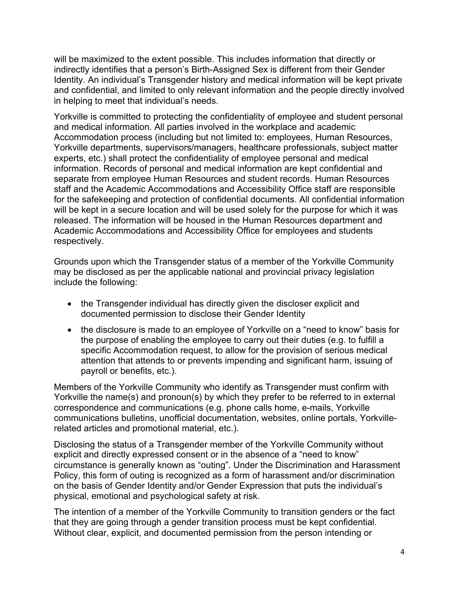will be maximized to the extent possible. This includes information that directly or indirectly identifies that a person's Birth-Assigned Sex is different from their Gender Identity. An individual's Transgender history and medical information will be kept private and confidential, and limited to only relevant information and the people directly involved in helping to meet that individual's needs.

Yorkville is committed to protecting the confidentiality of employee and student personal and medical information. All parties involved in the workplace and academic Accommodation process (including but not limited to: employees, Human Resources, Yorkville departments, supervisors/managers, healthcare professionals, subject matter experts, etc.) shall protect the confidentiality of employee personal and medical information. Records of personal and medical information are kept confidential and separate from employee Human Resources and student records. Human Resources staff and the Academic Accommodations and Accessibility Office staff are responsible for the safekeeping and protection of confidential documents. All confidential information will be kept in a secure location and will be used solely for the purpose for which it was released. The information will be housed in the Human Resources department and Academic Accommodations and Accessibility Office for employees and students respectively.

Grounds upon which the Transgender status of a member of the Yorkville Community may be disclosed as per the applicable national and provincial privacy legislation include the following:

- the Transgender individual has directly given the discloser explicit and documented permission to disclose their Gender Identity
- the disclosure is made to an employee of Yorkville on a "need to know" basis for the purpose of enabling the employee to carry out their duties (e.g. to fulfill a specific Accommodation request, to allow for the provision of serious medical attention that attends to or prevents impending and significant harm, issuing of payroll or benefits, etc.).

Members of the Yorkville Community who identify as Transgender must confirm with Yorkville the name(s) and pronoun(s) by which they prefer to be referred to in external correspondence and communications (e.g. phone calls home, e-mails, Yorkville communications bulletins, unofficial documentation, websites, online portals, Yorkvillerelated articles and promotional material, etc.).

Disclosing the status of a Transgender member of the Yorkville Community without explicit and directly expressed consent or in the absence of a "need to know" circumstance is generally known as "outing". Under the Discrimination and Harassment Policy, this form of outing is recognized as a form of harassment and/or discrimination on the basis of Gender Identity and/or Gender Expression that puts the individual's physical, emotional and psychological safety at risk.

The intention of a member of the Yorkville Community to transition genders or the fact that they are going through a gender transition process must be kept confidential. Without clear, explicit, and documented permission from the person intending or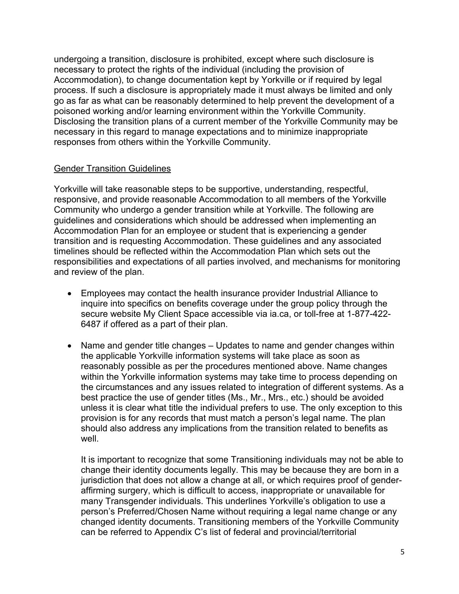undergoing a transition, disclosure is prohibited, except where such disclosure is necessary to protect the rights of the individual (including the provision of Accommodation), to change documentation kept by Yorkville or if required by legal process. If such a disclosure is appropriately made it must always be limited and only go as far as what can be reasonably determined to help prevent the development of a poisoned working and/or learning environment within the Yorkville Community. Disclosing the transition plans of a current member of the Yorkville Community may be necessary in this regard to manage expectations and to minimize inappropriate responses from others within the Yorkville Community.

# Gender Transition Guidelines

Yorkville will take reasonable steps to be supportive, understanding, respectful, responsive, and provide reasonable Accommodation to all members of the Yorkville Community who undergo a gender transition while at Yorkville. The following are guidelines and considerations which should be addressed when implementing an Accommodation Plan for an employee or student that is experiencing a gender transition and is requesting Accommodation. These guidelines and any associated timelines should be reflected within the Accommodation Plan which sets out the responsibilities and expectations of all parties involved, and mechanisms for monitoring and review of the plan.

- Employees may contact the health insurance provider Industrial Alliance to inquire into specifics on benefits coverage under the group policy through the secure website My Client Space accessible via ia.ca, or toll-free at 1-877-422- 6487 if offered as a part of their plan.
- Name and gender title changes Updates to name and gender changes within the applicable Yorkville information systems will take place as soon as reasonably possible as per the procedures mentioned above. Name changes within the Yorkville information systems may take time to process depending on the circumstances and any issues related to integration of different systems. As a best practice the use of gender titles (Ms., Mr., Mrs., etc.) should be avoided unless it is clear what title the individual prefers to use. The only exception to this provision is for any records that must match a person's legal name. The plan should also address any implications from the transition related to benefits as well.

It is important to recognize that some Transitioning individuals may not be able to change their identity documents legally. This may be because they are born in a jurisdiction that does not allow a change at all, or which requires proof of genderaffirming surgery, which is difficult to access, inappropriate or unavailable for many Transgender individuals. This underlines Yorkville's obligation to use a person's Preferred/Chosen Name without requiring a legal name change or any changed identity documents. Transitioning members of the Yorkville Community can be referred to Appendix C's list of federal and provincial/territorial